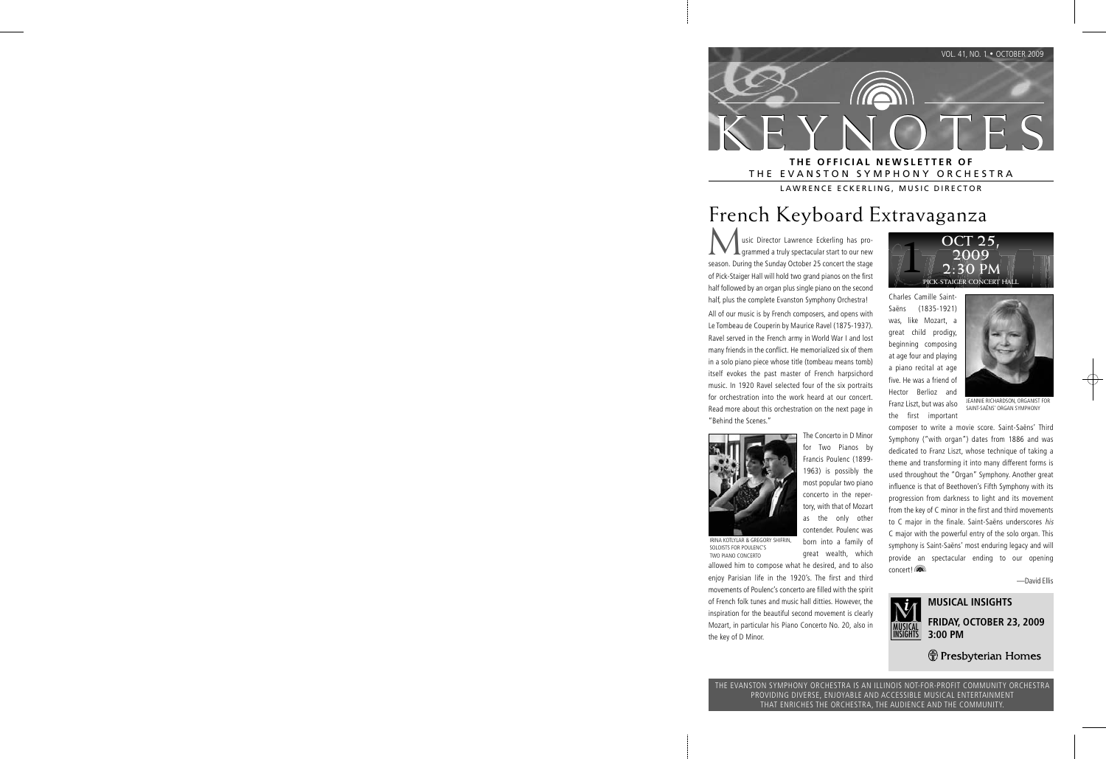

## THE EVANSTON SYMPHONY ORCHESTRA

LAWRENCE ECKERLING, MUSIC DIRECTOR

## French Keyboard Extravaganza

usic Director Lawrence Eckerling has programmed a truly spectacular start to our new season. During the Sunday October 25 concert the stage of Pick-Staiger Hall will hold two grand pianos on the first half followed by an organ plus single piano on the second half, plus the complete Evanston Symphony Orchestra!

All of our music is by French composers, and opens with Le Tombeau de Couperin by Maurice Ravel (1875-1937). Ravel served in the French army in World War I and lost many friends in the conflict. He memorialized six of them in a solo piano piece whose title (tombeau means tomb) itself evokes the past master of French harpsichord music. In 1920 Ravel selected four of the six portraits for orchestration into the work heard at our concert. Read more about this orchestration on the next page in "Behind the Scenes."



IRINA KOTLYLAR & GREGORY SHIFRIN, SOLOISTS FOR POULENC'S TWO PIANO CONCERTO

for Two Pianos by Francis Poulenc (1899- 1963) is possibly the most popular two piano concerto in the repertory, with that of Mozart as the only other contender. Poulenc was born into a family of great wealth, which

The Concerto in D Minor



 movements of Poulenc's concerto are filled with the spirit of French folk tunes and music hall ditties. However, the inspiration for the beautiful second movement is clearly Mozart, in particular his Piano Concerto No. 20, also in the key of D Minor.



Charles Camille Saint-Saëns (1835-1921) was, like Mozart, a great child prodigy, beginning composing at age four and playing a piano recital at age five. He was a friend of Hector Berlioz and Franz Liszt, but was also the first important



JEANNIE RICHARDSON, ORGANIST FOR SAINT-SAËNS' ORGAN SYMPHONY

 composer to write a movie score. Saint-Saëns' Third Symphony ("with organ") dates from 1886 and was dedicated to Franz Liszt, whose technique of taking a theme and transforming it into many different forms is used throughout the "Organ" Symphony. Another great influence is that of Beethoven's Fifth Symphony with its progression from darkness to light and its movement from the key of C minor in the first and third movements to C major in the finale. Saint-Saëns underscores his C major with the powerful entry of the solo organ. This symphony is Saint-Saëns' most enduring legacy and will provide an spectacular ending to our opening concert!

—David Ellis



#### **MUSICAL INSIGHTS FRIDAY, OCTOBER 23, 2009 3:00 PM**

*H* Presbyterian Homes

THE EVANSTON SYMPHONY ORCHESTRA IS AN ILLINOIS NOT-FOR-PROFIT COMMUNITY ORCHESTRA PROVIDING DIVERSE, ENJOYABLE AND ACCESSIBLE MUSICAL ENTERTAINMENT THAT ENRICHES THE ORCHESTRA, THE AUDIENCE AND THE COMMUNITY.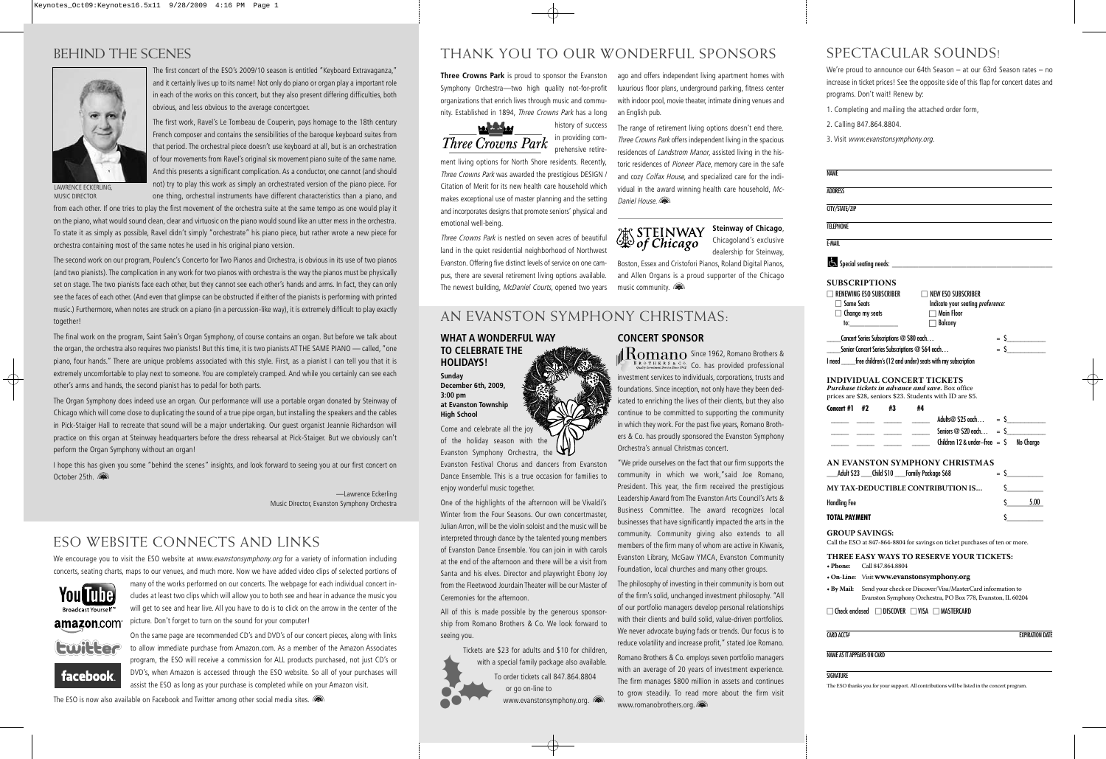## BEHIND THE SCENES



The first concert of the ESO's 2009/10 season is entitled "Keyboard Extravaganza," and it certainly lives up to its name! Not only do piano or organ play a important role in each of the works on this concert, but they also present differing difficulties, both obvious, and less obvious to the average concertgoer.

The first work, Ravel's Le Tombeau de Couperin, pays homage to the 18th century French composer and contains the sensibilities of the baroque keyboard suites from that period. The orchestral piece doesn't use keyboard at all, but is an orchestration of four movements from Ravel's original six movement piano suite of the same name. And this presents a significant complication. As a conductor, one cannot (and should not) try to play this work as simply an orchestrated version of the piano piece. For one thing, orchestral instruments have different characteristics than a piano, and

LAWRENCE ECKERLING, MUSIC DIRECTOR

from each other. If one tries to play the first movement of the orchestra suite at the same tempo as one would play it on the piano, what would sound clean, clear and virtuosic on the piano would sound like an utter mess in the orchestra. To state it as simply as possible, Ravel didn't simply "orchestrate" his piano piece, but rather wrote a new piece for orchestra containing most of the same notes he used in his original piano version.

The second work on our program, Poulenc's Concerto for Two Pianos and Orchestra, is obvious in its use of two pianos (and two pianists). The complication in any work for two pianos with orchestra is the way the pianos must be physically set on stage. The two pianists face each other, but they cannot see each other's hands and arms. In fact, they can only see the faces of each other. (And even that glimpse can be obstructed if either of the pianists is performing with printed music.) Furthermore, when notes are struck on a piano (in a percussion-like way), it is extremely difficult to play exactly together!

The final work on the program, Saint Saën's Organ Symphony, of course contains an organ. But before we talk about the organ, the orchestra also requires two pianists! But this time, it is two pianists AT THE SAME PIANO — called, "one piano, four hands." There are unique problems associated with this style. First, as a pianist I can tell you that it is extremely uncomfortable to play next to someone. You are completely cramped. And while you certainly can see each other's arms and hands, the second pianist has to pedal for both parts.

The Organ Symphony does indeed use an organ. Our performance will use a portable organ donated by Steinway of Chicago which will come close to duplicating the sound of a true pipe organ, but installing the speakers and the cables in Pick-Staiger Hall to recreate that sound will be a major undertaking. Our guest organist Jeannie Richardson will practice on this organ at Steinway headquarters before the dress rehearsal at Pick-Staiger. But we obviously can't perform the Organ Symphony without an organ!

I hope this has given you some "behind the scenes" insights, and look forward to seeing you at our first concert on October 25th.

> —Lawrence Eckerling Music Director, Evanston Symphony Orchestra

### ESO WEBSITE CONNECTS AND LINKS

We encourage you to visit the ESO website at www.evanstonsymphony.org for a variety of information including concerts, seating charts, maps to our venues, and much more. Now we have added video clips of selected portions of



many of the works performed on our concerts. The webpage for each individual concert includes at least two clips which will allow you to both see and hear in advance the music you will get to see and hear live. All you have to do is to click on the arrow in the center of the

picture. Don't forget to turn on the sound for your computer! On the same page are recommended CD's and DVD's of our concert pieces, along with links

to allow immediate purchase from Amazon.com. As a member of the Amazon Associates program, the ESO will receive a commission for ALL products purchased, not just CD's or DVD's, when Amazon is accessed through the ESO website. So all of your purchases will assist the ESO as long as your purchase is completed while on your Amazon visit.

The ESO is now also available on Facebook and Twitter among other social media sites.

## THANK YOU TO OUR WONDERFUL SPONSORS

 history of success in providing comprehensive retire-

**Three Crowns Park** is proud to sponsor the Evanston Symphony Orchestra—two high quality not-for-profit organizations that enrich lives through music and community. Established in 1894, Three Crowns Park has a long



ment living options for North Shore residents. Recently, Three Crowns Park was awarded the prestigious DESIGN / Citation of Merit for its new health care household which makes exceptional use of master planning and the setting and incorporates designs that promote seniors' physical and emotional well-being.

Three Crowns Park is nestled on seven acres of beautiful land in the quiet residential neighborhood of Northwest Evanston. Offering five distinct levels of service on one campus, there are several retirement living options available. The newest building, McDaniel Courts, opened two years ago and offers independent living apartment homes with luxurious floor plans, underground parking, fitness center with indoor pool, movie theater, intimate dining venues and an English pub.

The range of retirement living options doesn't end there. Three Crowns Park offers independent living in the spacious residences of Landstrom Manor, assisted living in the historic residences of Pioneer Place, memory care in the safe and cozy Colfax House, and specialized care for the individual in the award winning health care household, Mc-Daniel House.

# **X** STEINWAY<br>Sof Chicago

**Steinway of Chicago**, Chicagoland's exclusive dealership for Steinway,

Boston, Essex and Cristofori Pianos, Roland Digital Pianos, and Allen Organs is a proud supporter of the Chicago music community.

### AN EVANSTON SYMPHONY CHRISTMAS:

#### **WHAT A WONDERFUL WAY TO CELEBRATE THE HOLIDAYS!**

**Sunday December 6th, 2009, 3:00 pm at Evanston Township High School**

Come and celebrate all the joy of the holiday season with the Evanston Symphony Orchestra, the

Evanston Festival Chorus and dancers from Evanston Dance Ensemble. This is a true occasion for families to enjoy wonderful music together.

One of the highlights of the afternoon will be Vivaldi's Winter from the Four Seasons. Our own concertmaster, Julian Arron, will be the violin soloist and the music will be interpreted through dance by the talented young members of Evanston Dance Ensemble. You can join in with carols at the end of the afternoon and there will be a visit from Santa and his elves. Director and playwright Ebony Joy from the Fleetwood Jourdain Theater will be our Master of Ceremonies for the afternoon.

All of this is made possible by the generous sponsorship from Romano Brothers & Co. We look forward to seeing you.

with a



Tickets are \$23 for adults and \$10 for children, with a special family package also available. To order tickets call 847.864.8804 or go on-line to

www.evanstonsymphony.org. (a)

**CONCERT SPONSOR** 

 $\mathbb{R}$   $\mathbf{R}$   $\mathbf{m}$  and  $\mathbf{S}$  ince 1962, Romano Brothers &  $\frac{1}{\sqrt{C}}$  Co. has provided professional investment services to individuals, corporations, trusts and foundations. Since inception, not only have they been dedicated to enriching the lives of their clients, but they also continue to be committed to supporting the community in which they work. For the past five years, Romano Brothers & Co. has proudly sponsored the Evanston Symphony Orchestra's annual Christmas concert.

"We pride ourselves on the fact that our firm supports the community in which we work,"said Joe Romano, President. This year, the firm received the prestigious Leadership Award from The Evanston Arts Council's Arts & Business Committee. The award recognizes local businesses that have significantly impacted the arts in the community. Community giving also extends to all members of the firm many of whom are active in Kiwanis, Evanston Library, McGaw YMCA, Evanston Community Foundation, local churches and many other groups.

The philosophy of investing in their community is born out of the firm's solid, unchanged investment philosophy. "All of our portfolio managers develop personal relationships with their clients and build solid, value-driven portfolios. We never advocate buying fads or trends. Our focus is to reduce volatility and increase profit," stated Joe Romano.

Romano Brothers & Co. employs seven portfolio managers with an average of 20 years of investment experience. The firm manages \$800 million in assets and continues to grow steadily. To read more about the firm visit www.romanobrothers.org.